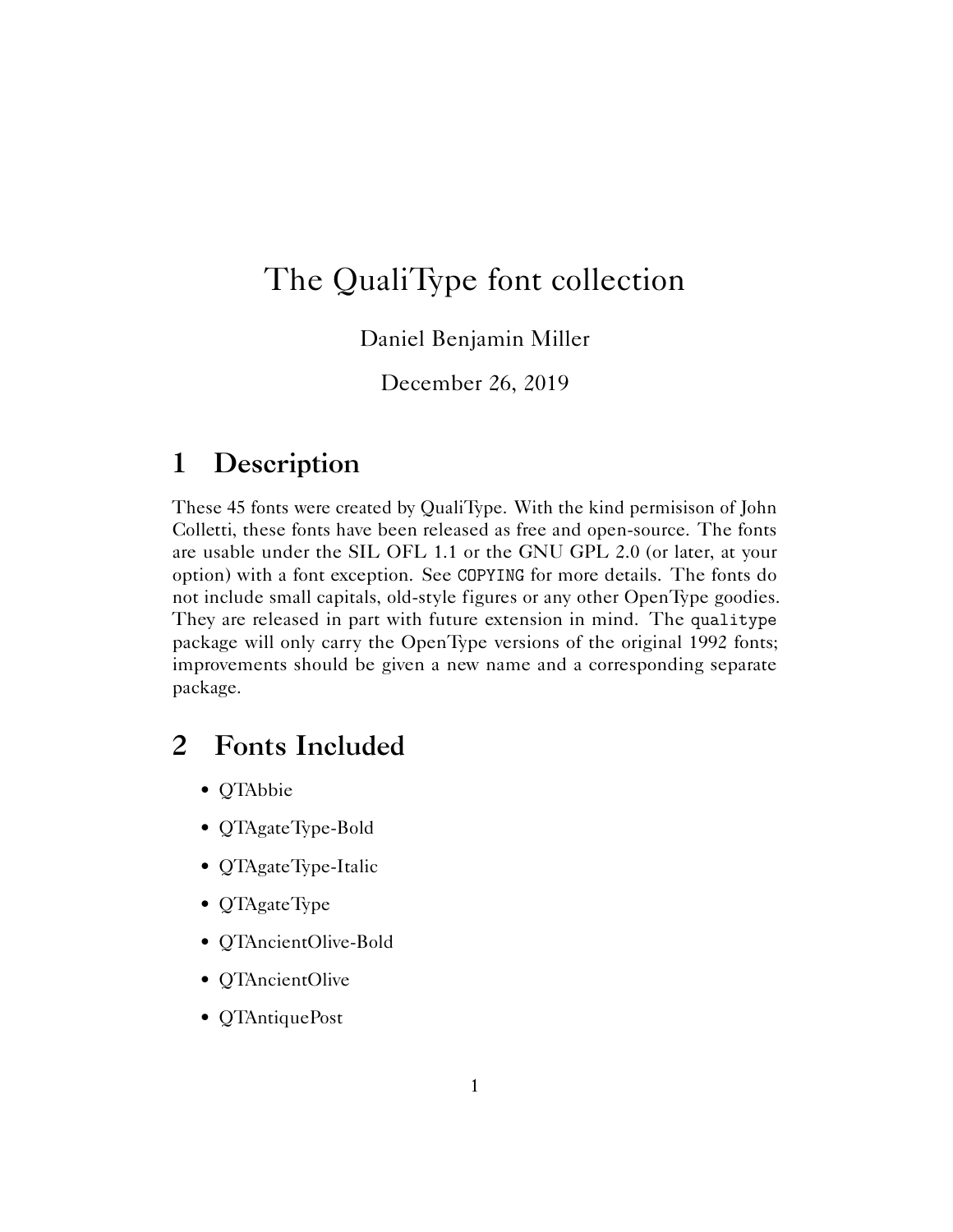## The QualiType font collection

Daniel Benjamin Miller

December 26, 2019

## **1 Description**

These 45 fonts were created by QualiType. With the kind permisison of John Colletti, these fonts have been released as free and open-source. The fonts are usable under the SIL OFL 1.1 or the GNU GPL 2.0 (or later, at your option) with a font exception. See COPYING for more details. The fonts do not include small capitals, old-style figures or any other OpenType goodies. They are released in part with future extension in mind. The qualitype package will only carry the OpenType versions of the original 1992 fonts; improvements should be given a new name and a corresponding separate package.

## **2 Fonts Included**

- QTAbbie
- QTAgateType-Bold
- QTAgateType-Italic
- QTAgateType
- QTAncientOlive-Bold
- QTAncientOlive
- QTAntiquePost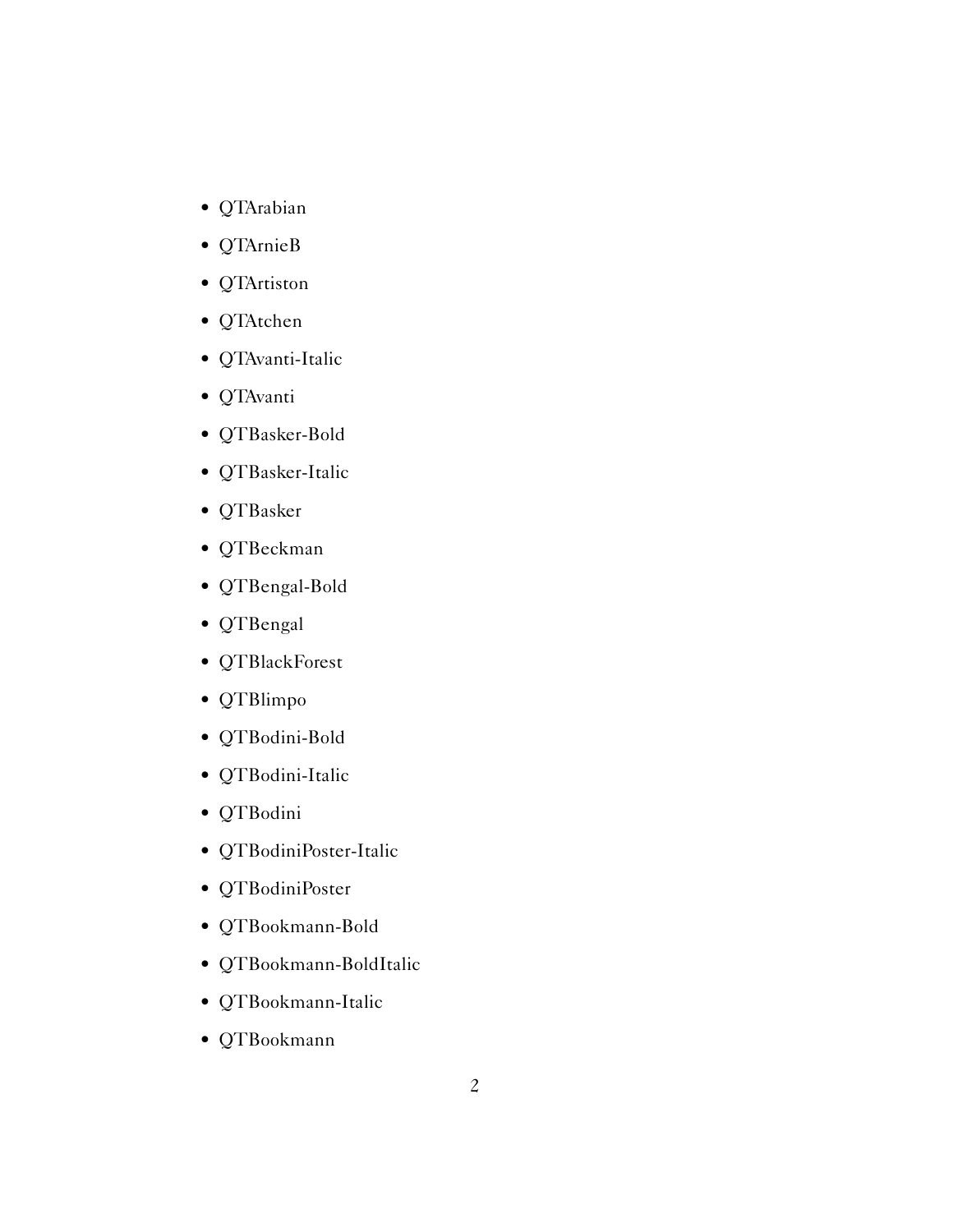- QTArabian
- QTArnieB
- QTArtiston
- QTAtchen
- QTAvanti-Italic
- QTAvanti
- QTBasker-Bold
- QTBasker-Italic
- QTBasker
- QTBeckman
- QTBengal-Bold
- QTBengal
- QTBlackForest
- QTBlimpo
- QTBodini-Bold
- QTBodini-Italic
- QTBodini
- QTBodiniPoster-Italic
- QTBodiniPoster
- QTBookmann-Bold
- QTBookmann-BoldItalic
- QTBookmann-Italic
- QTBookmann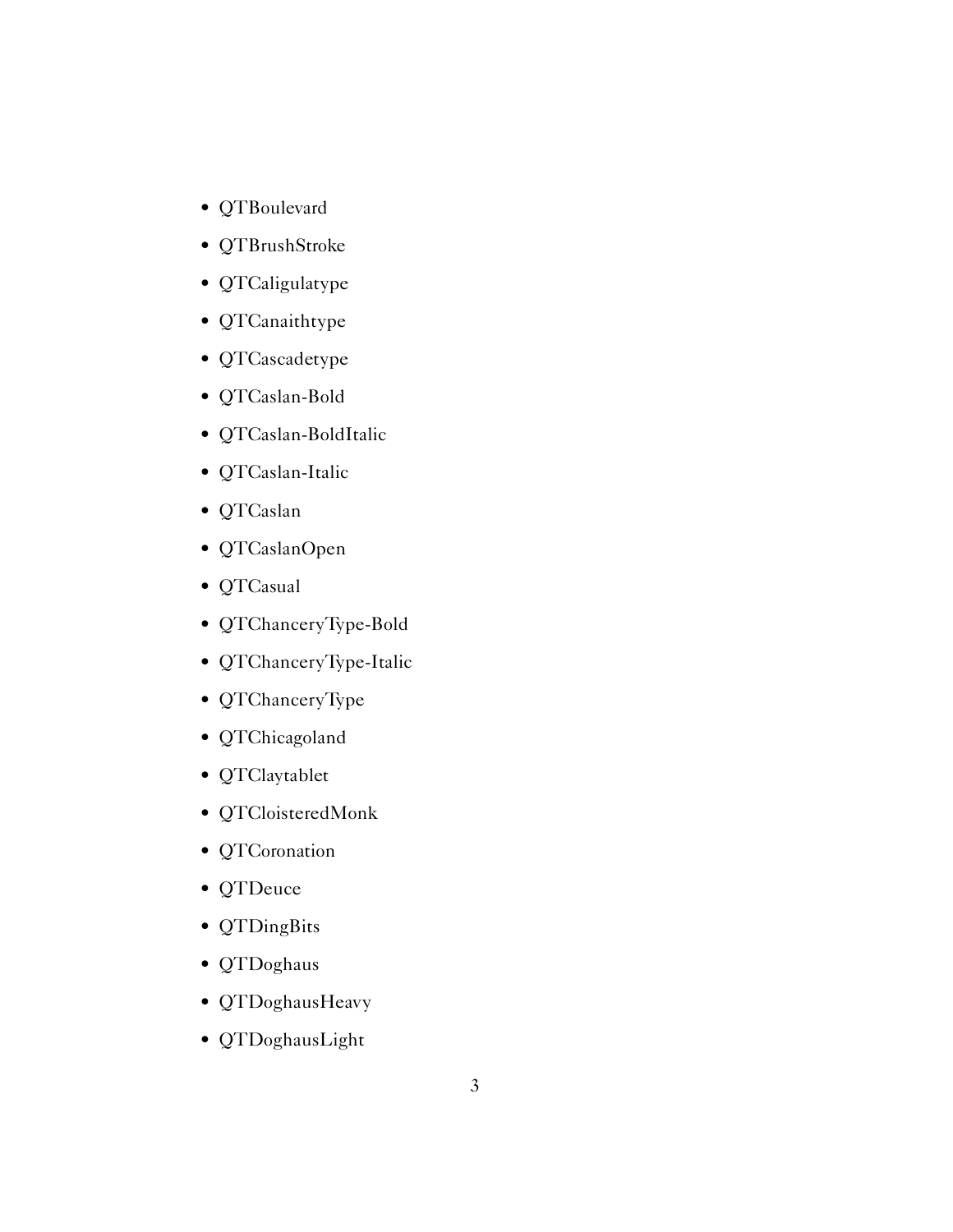- QTBoulevard
- QTBrushStroke
- QTCaligulatype
- QTCanaithtype
- QTCascadetype
- QTCaslan-Bold
- QTCaslan-BoldItalic
- QTCaslan-Italic
- QTCaslan
- QTCaslanOpen
- QTCasual
- QTChanceryType-Bold
- QTChanceryType-Italic
- QTChanceryType
- QTChicagoland
- QTClaytablet
- QTCloisteredMonk
- QTCoronation
- QTDeuce
- QTDingBits
- QTDoghaus
- QTDoghausHeavy
- QTDoghausLight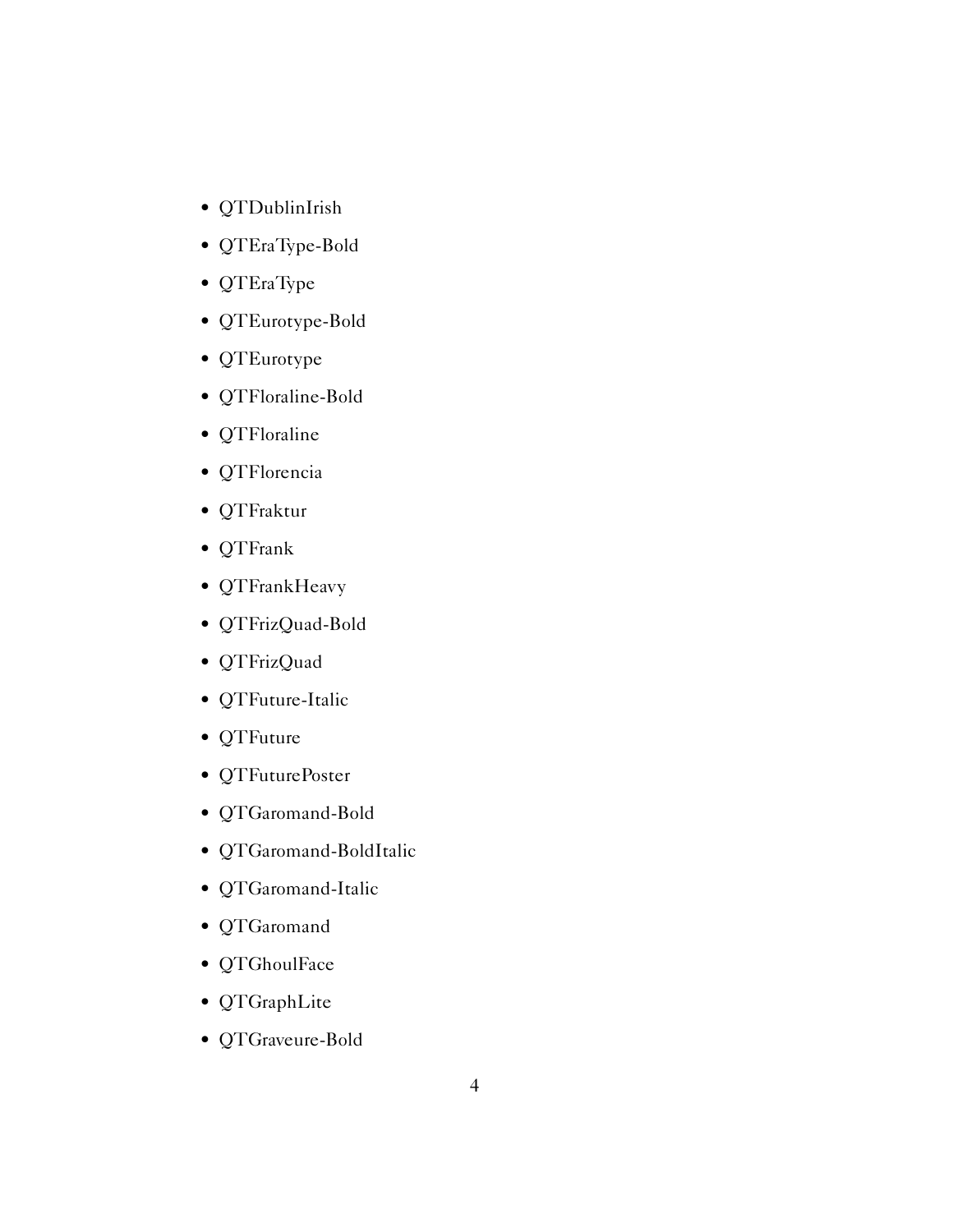- QTDublinIrish
- QTEraType-Bold
- QTEraType
- QTEurotype-Bold
- QTEurotype
- QTFloraline-Bold
- QTFloraline
- QTFlorencia
- QTFraktur
- QTFrank
- QTFrankHeavy
- QTFrizQuad-Bold
- QTFrizQuad
- QTFuture-Italic
- QTFuture
- QTFuturePoster
- QTGaromand-Bold
- QTGaromand-BoldItalic
- QTGaromand-Italic
- QTGaromand
- QTGhoulFace
- QTGraphLite
- QTGraveure-Bold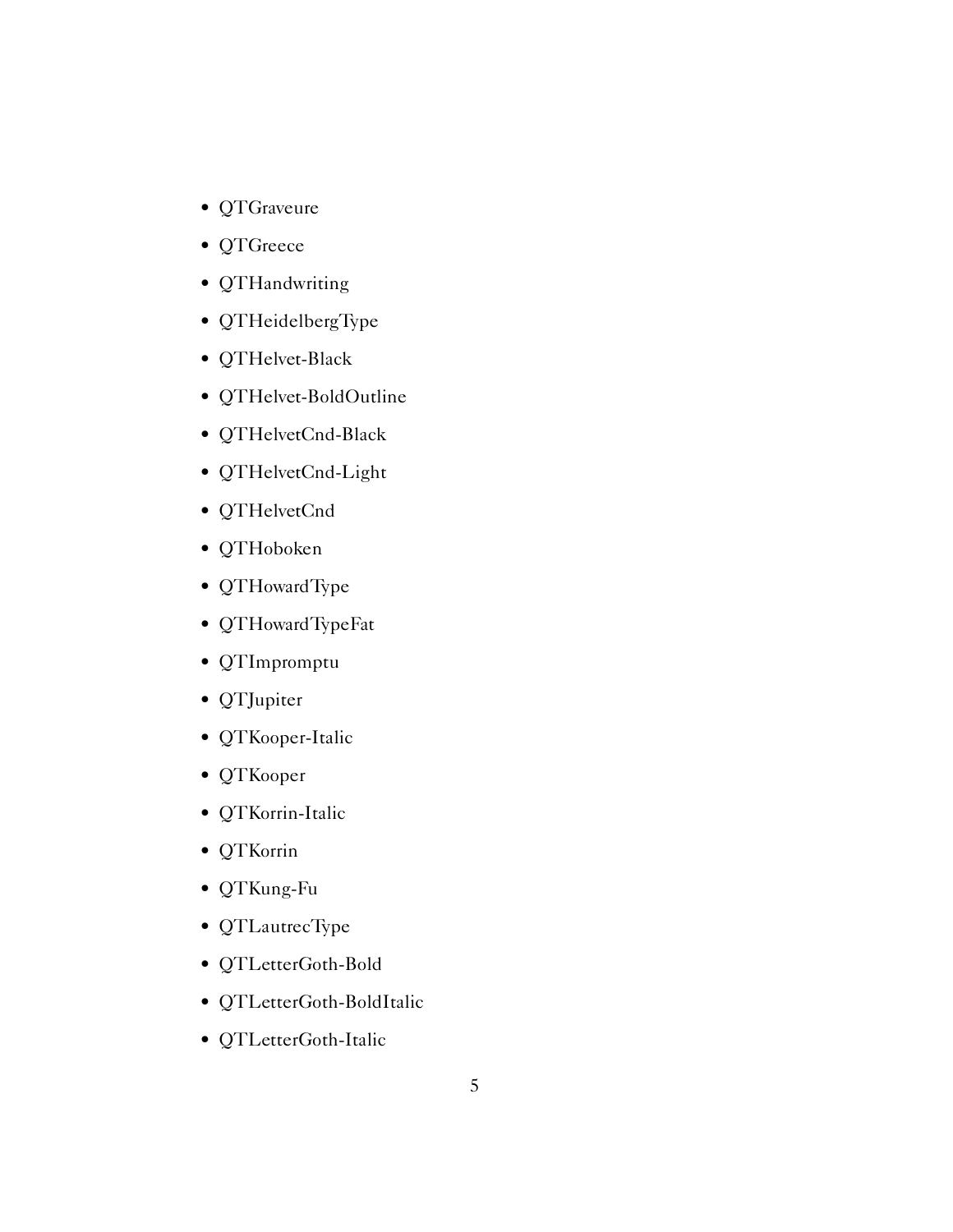- QTGraveure
- QTGreece
- QTHandwriting
- QTHeidelbergType
- QTHelvet-Black
- QTHelvet-BoldOutline
- QTHelvetCnd-Black
- QTHelvetCnd-Light
- QTHelvetCnd
- QTHoboken
- QTHowardType
- QTHowardTypeFat
- QTImpromptu
- QTJupiter
- QTKooper-Italic
- QTKooper
- QTKorrin-Italic
- QTKorrin
- QTKung-Fu
- QTLautrecType
- QTLetterGoth-Bold
- QTLetterGoth-BoldItalic
- QTLetterGoth-Italic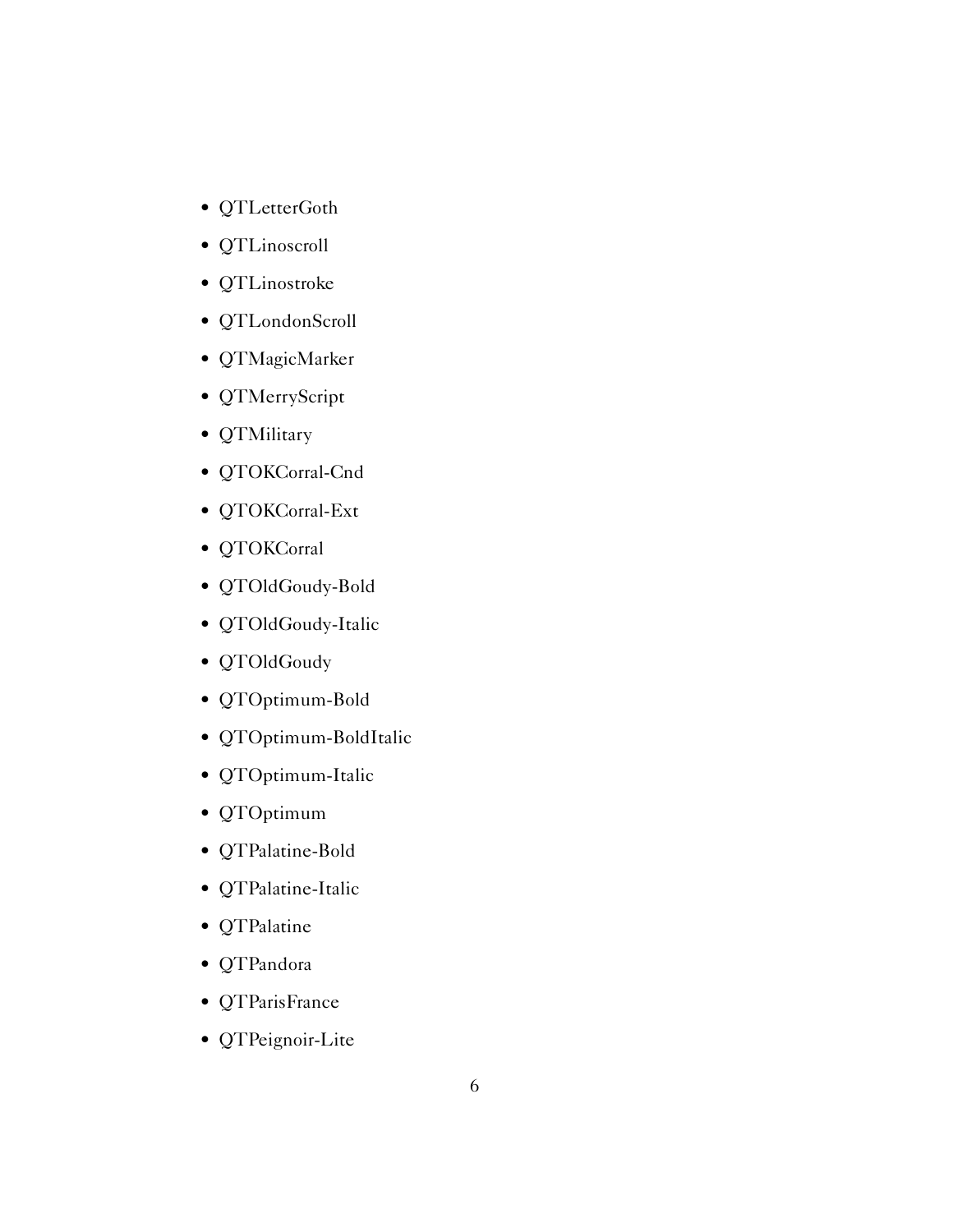- QTLetterGoth
- QTLinoscroll
- QTLinostroke
- QTLondonScroll
- QTMagicMarker
- QTMerryScript
- QTMilitary
- QTOKCorral-Cnd
- QTOKCorral-Ext
- QTOKCorral
- QTOldGoudy-Bold
- QTOldGoudy-Italic
- QTOldGoudy
- QTOptimum-Bold
- QTOptimum-BoldItalic
- QTOptimum-Italic
- QTOptimum
- QTPalatine-Bold
- QTPalatine-Italic
- QTPalatine
- QTPandora
- QTParisFrance
- QTPeignoir-Lite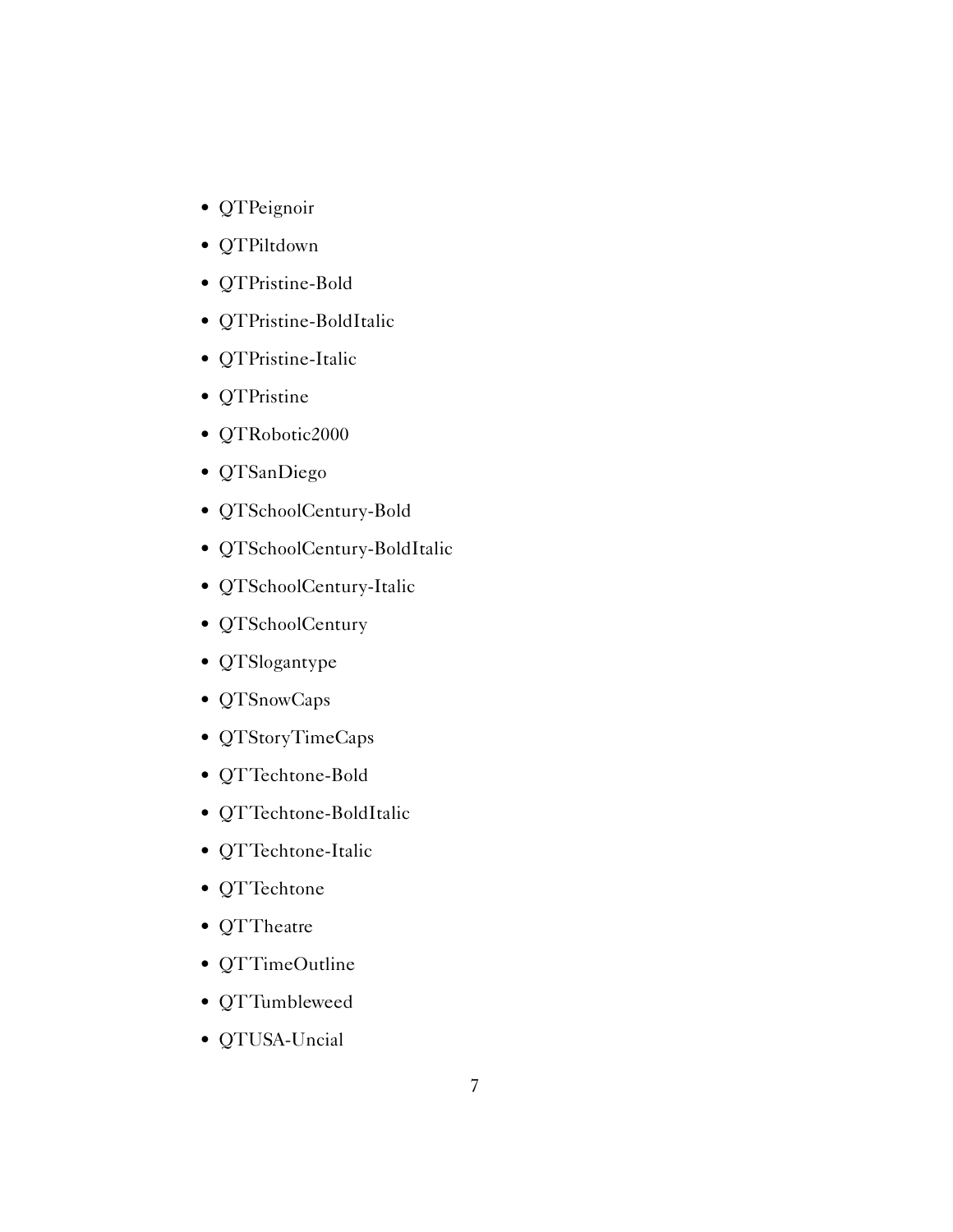- QTPeignoir
- QTPiltdown
- QTPristine-Bold
- QTPristine-BoldItalic
- QTPristine-Italic
- QTPristine
- QTRobotic2000
- QTSanDiego
- QTSchoolCentury-Bold
- QTSchoolCentury-BoldItalic
- QTSchoolCentury-Italic
- QTSchoolCentury
- QTSlogantype
- QTSnowCaps
- QTStoryTimeCaps
- QTTechtone-Bold
- QTTechtone-BoldItalic
- QTTechtone-Italic
- QTTechtone
- QTTheatre
- QTTimeOutline
- QTTumbleweed
- QTUSA-Uncial